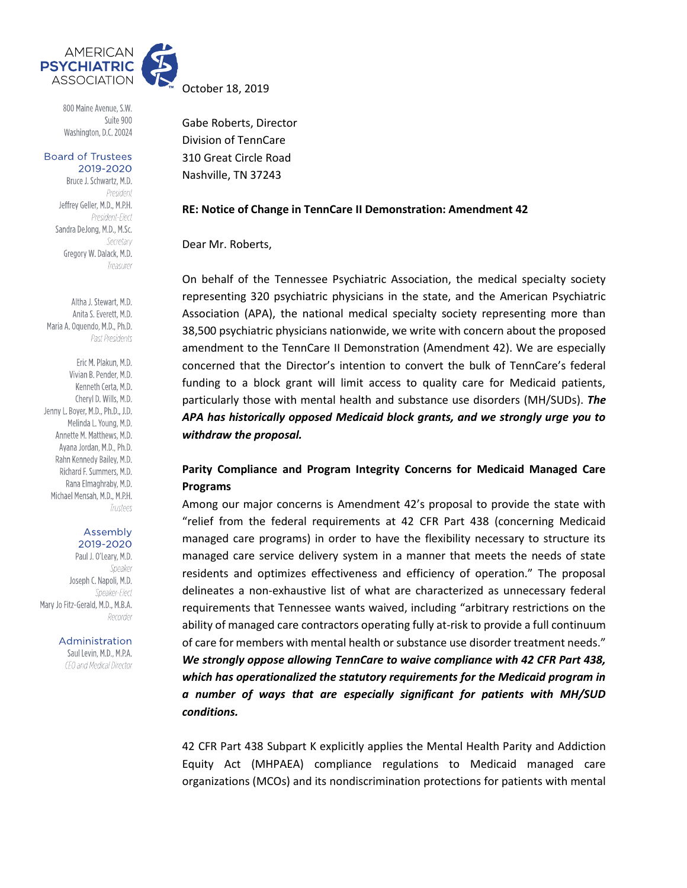

800 Maine Avenue, S.W. Suite 900 Washington, D.C. 20024

**Board of Trustees** 2019-2020

> Bruce J. Schwartz, M.D. President Jeffrey Geller, M.D., M.P.H. President-Elect Sandra DeJong, M.D., M.Sc. Secretary Gregory W. Dalack, M.D. Treasurer

Altha J. Stewart, M.D. Anita S. Everett, M.D. Maria A. Oquendo, M.D., Ph.D. Past Presidents

Eric M. Plakun, M.D. Vivian B. Pender, M.D. Kenneth Certa, M.D. Cheryl D. Wills, M.D. Jenny L. Boyer, M.D., Ph.D., J.D. Melinda L. Young, M.D. Annette M. Matthews, M.D. Avana Jordan, M.D., Ph.D. Rahn Kennedy Bailey, M.D. Richard F. Summers, M.D. Rana Elmaghraby, M.D. Michael Mensah, M.D., M.P.H. Trustees

#### Assembly 2019-2020

Paul J. O'Leary, M.D. Speaker Joseph C. Napoli, M.D. Speaker-Flect Mary Jo Fitz-Gerald, M.D., M.B.A. Recorder

Administration

Saul Levin, M.D., M.P.A. CEO and Medical Director October 18, 2019

Gabe Roberts, Director Division of TennCare 310 Great Circle Road Nashville, TN 37243

### **RE: Notice of Change in TennCare II Demonstration: Amendment 42**

Dear Mr. Roberts,

On behalf of the Tennessee Psychiatric Association, the medical specialty society representing 320 psychiatric physicians in the state, and the American Psychiatric Association (APA), the national medical specialty society representing more than 38,500 psychiatric physicians nationwide, we write with concern about the proposed amendment to the TennCare II Demonstration (Amendment 42). We are especially concerned that the Director's intention to convert the bulk of TennCare's federal funding to a block grant will limit access to quality care for Medicaid patients, particularly those with mental health and substance use disorders (MH/SUDs). *The APA has historically opposed Medicaid block grants, and we strongly urge you to withdraw the proposal.* 

# **Parity Compliance and Program Integrity Concerns for Medicaid Managed Care Programs**

Among our major concerns is Amendment 42's proposal to provide the state with "relief from the federal requirements at 42 CFR Part 438 (concerning Medicaid managed care programs) in order to have the flexibility necessary to structure its managed care service delivery system in a manner that meets the needs of state residents and optimizes effectiveness and efficiency of operation." The proposal delineates a non-exhaustive list of what are characterized as unnecessary federal requirements that Tennessee wants waived, including "arbitrary restrictions on the ability of managed care contractors operating fully at-risk to provide a full continuum of care for members with mental health or substance use disorder treatment needs." *We strongly oppose allowing TennCare to waive compliance with 42 CFR Part 438, which has operationalized the statutory requirements for the Medicaid program in a number of ways that are especially significant for patients with MH/SUD conditions.* 

42 CFR Part 438 Subpart K explicitly applies the Mental Health Parity and Addiction Equity Act (MHPAEA) compliance regulations to Medicaid managed care organizations (MCOs) and its nondiscrimination protections for patients with mental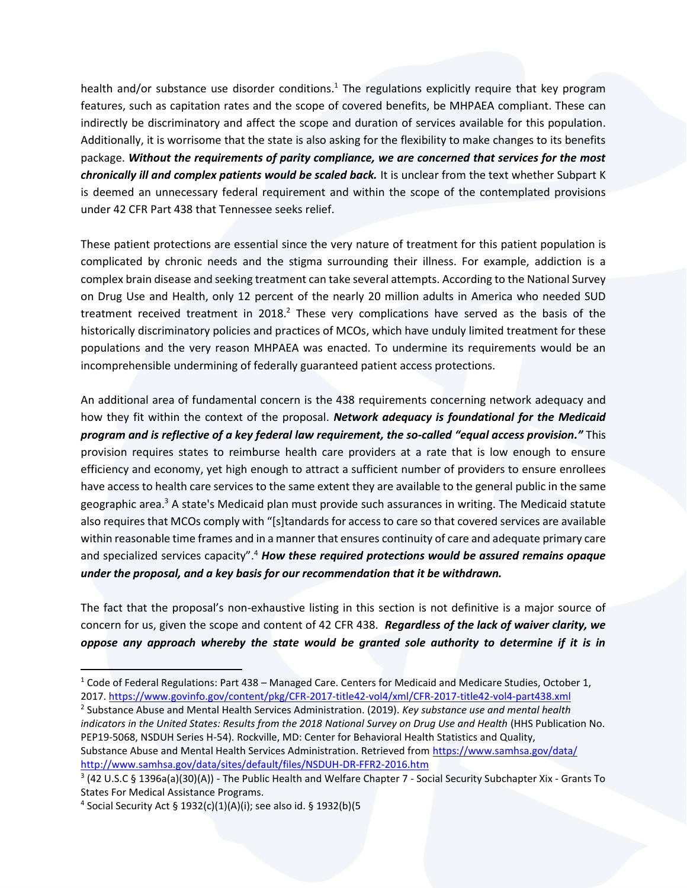health and/or substance use disorder conditions.<sup>1</sup> The regulations explicitly require that key program features, such as capitation rates and the scope of covered benefits, be MHPAEA compliant. These can indirectly be discriminatory and affect the scope and duration of services available for this population. Additionally, it is worrisome that the state is also asking for the flexibility to make changes to its benefits package. *Without the requirements of parity compliance, we are concerned that services for the most chronically ill and complex patients would be scaled back.* It is unclear from the text whether Subpart K is deemed an unnecessary federal requirement and within the scope of the contemplated provisions under 42 CFR Part 438 that Tennessee seeks relief.

These patient protections are essential since the very nature of treatment for this patient population is complicated by chronic needs and the stigma surrounding their illness. For example, addiction is a complex brain disease and seeking treatment can take several attempts. According to the National Survey on Drug Use and Health, only 12 percent of the nearly 20 million adults in America who needed SUD treatment received treatment in 2018.<sup>2</sup> These very complications have served as the basis of the historically discriminatory policies and practices of MCOs, which have unduly limited treatment for these populations and the very reason MHPAEA was enacted. To undermine its requirements would be an incomprehensible undermining of federally guaranteed patient access protections.

An additional area of fundamental concern is the 438 requirements concerning network adequacy and how they fit within the context of the proposal. *Network adequacy is foundational for the Medicaid program and is reflective of a key federal law requirement, the so-called "equal access provision."* This provision requires states to reimburse health care providers at a rate that is low enough to ensure efficiency and economy, yet high enough to attract a sufficient number of providers to ensure enrollees have access to health care services to the same extent they are available to the general public in the same geographic area.<sup>3</sup> A state's Medicaid plan must provide such assurances in writing. The Medicaid statute also requires that MCOs comply with "[s]tandards for access to care so that covered services are available within reasonable time frames and in a manner that ensures continuity of care and adequate primary care and specialized services capacity".<sup>4</sup> *How these required protections would be assured remains opaque under the proposal, and a key basis for our recommendation that it be withdrawn.*

The fact that the proposal's non-exhaustive listing in this section is not definitive is a major source of concern for us, given the scope and content of 42 CFR 438. *Regardless of the lack of waiver clarity, we oppose any approach whereby the state would be granted sole authority to determine if it is in* 

2 Substance Abuse and Mental Health Services Administration. (2019). *Key substance use and mental health indicators in the United States: Results from the 2018 National Survey on Drug Use and Health* (HHS Publication No. PEP19-5068, NSDUH Series H-54). Rockville, MD: Center for Behavioral Health Statistics and Quality,

Substance Abuse and Mental Health Services Administration. Retrieved from <https://www.samhsa.gov/data/> <http://www.samhsa.gov/data/sites/default/files/NSDUH-DR-FFR2-2016.htm>

<sup>&</sup>lt;sup>1</sup> Code of Federal Regulations: Part 438 – Managed Care. Centers for Medicaid and Medicare Studies, October 1, 2017.<https://www.govinfo.gov/content/pkg/CFR-2017-title42-vol4/xml/CFR-2017-title42-vol4-part438.xml>

<sup>&</sup>lt;sup>3</sup> (42 U.S.C § 1396a(a)(30)(A)) - The Public Health and Welfare Chapter 7 - Social Security Subchapter Xix - Grants To States For Medical Assistance Programs.

<sup>4</sup> Social Security Act § 1932(c)(1)(A)(i); see also id. § 1932(b)(5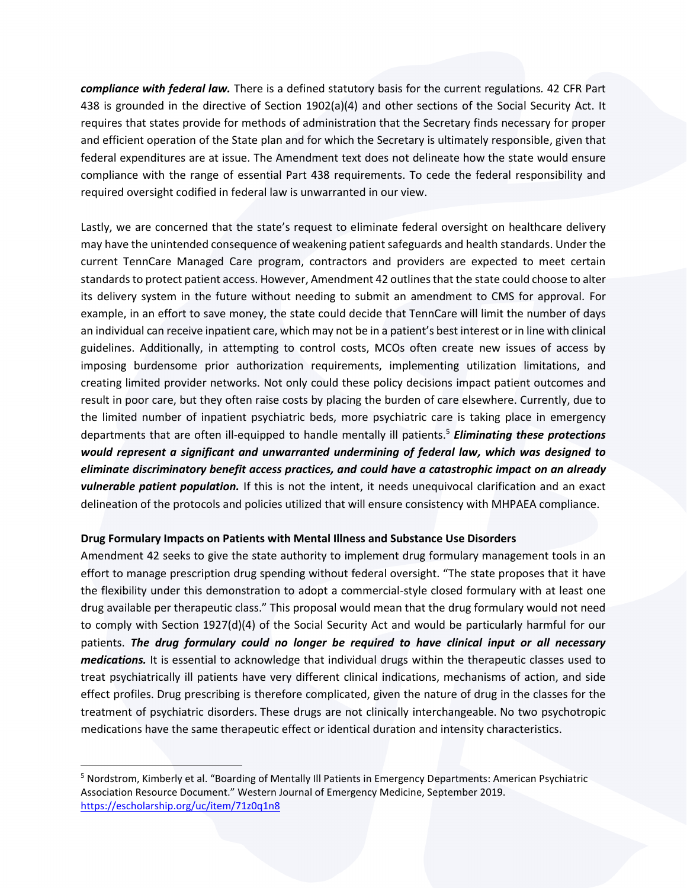*compliance with federal law.* There is a defined statutory basis for the current regulations*.* 42 CFR Part 438 is grounded in the directive of Section 1902(a)(4) and other sections of the Social Security Act. It requires that states provide for methods of administration that the Secretary finds necessary for proper and efficient operation of the State plan and for which the Secretary is ultimately responsible, given that federal expenditures are at issue. The Amendment text does not delineate how the state would ensure compliance with the range of essential Part 438 requirements. To cede the federal responsibility and required oversight codified in federal law is unwarranted in our view.

Lastly, we are concerned that the state's request to eliminate federal oversight on healthcare delivery may have the unintended consequence of weakening patient safeguards and health standards. Under the current TennCare Managed Care program, contractors and providers are expected to meet certain standards to protect patient access. However, Amendment 42 outlines that the state could choose to alter its delivery system in the future without needing to submit an amendment to CMS for approval. For example, in an effort to save money, the state could decide that TennCare will limit the number of days an individual can receive inpatient care, which may not be in a patient's best interest or in line with clinical guidelines. Additionally, in attempting to control costs, MCOs often create new issues of access by imposing burdensome prior authorization requirements, implementing utilization limitations, and creating limited provider networks. Not only could these policy decisions impact patient outcomes and result in poor care, but they often raise costs by placing the burden of care elsewhere. Currently, due to the limited number of inpatient psychiatric beds, more psychiatric care is taking place in emergency departments that are often ill-equipped to handle mentally ill patients.<sup>5</sup> *Eliminating these protections would represent a significant and unwarranted undermining of federal law, which was designed to eliminate discriminatory benefit access practices, and could have a catastrophic impact on an already vulnerable patient population.* If this is not the intent, it needs unequivocal clarification and an exact delineation of the protocols and policies utilized that will ensure consistency with MHPAEA compliance.

# **Drug Formulary Impacts on Patients with Mental Illness and Substance Use Disorders**

Amendment 42 seeks to give the state authority to implement drug formulary management tools in an effort to manage prescription drug spending without federal oversight. "The state proposes that it have the flexibility under this demonstration to adopt a commercial-style closed formulary with at least one drug available per therapeutic class." This proposal would mean that the drug formulary would not need to comply with Section 1927(d)(4) of the Social Security Act and would be particularly harmful for our patients. *The drug formulary could no longer be required to have clinical input or all necessary medications.* It is essential to acknowledge that individual drugs within the therapeutic classes used to treat psychiatrically ill patients have very different clinical indications, mechanisms of action, and side effect profiles. Drug prescribing is therefore complicated, given the nature of drug in the classes for the treatment of psychiatric disorders. These drugs are not clinically interchangeable. No two psychotropic medications have the same therapeutic effect or identical duration and intensity characteristics.

<sup>5</sup> Nordstrom, Kimberly et al. "Boarding of Mentally Ill Patients in Emergency Departments: American Psychiatric Association Resource Document." Western Journal of Emergency Medicine, September 2019. <https://escholarship.org/uc/item/71z0q1n8>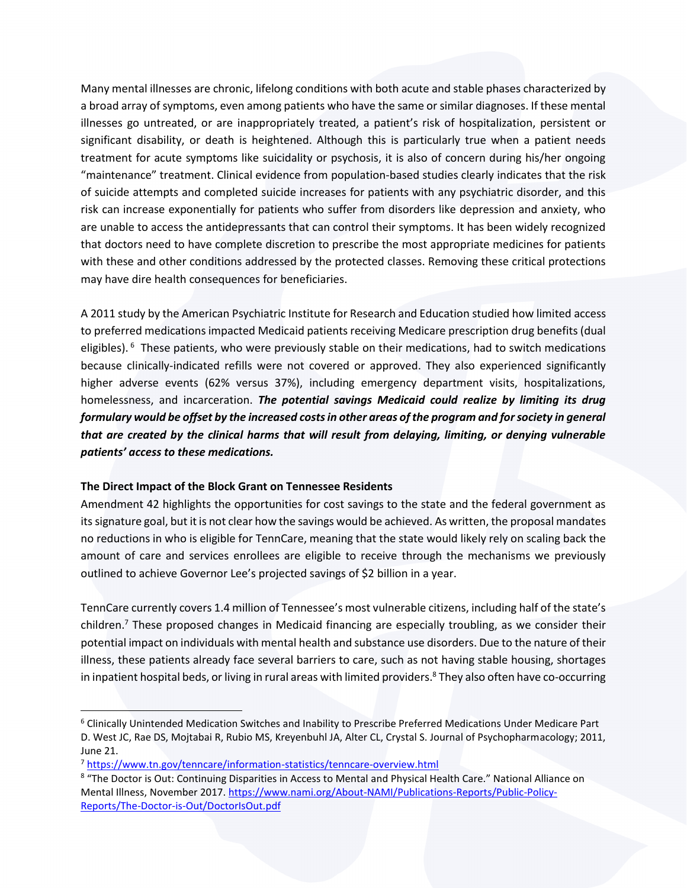Many mental illnesses are chronic, lifelong conditions with both acute and stable phases characterized by a broad array of symptoms, even among patients who have the same or similar diagnoses. If these mental illnesses go untreated, or are inappropriately treated, a patient's risk of hospitalization, persistent or significant disability, or death is heightened. Although this is particularly true when a patient needs treatment for acute symptoms like suicidality or psychosis, it is also of concern during his/her ongoing "maintenance" treatment. Clinical evidence from population-based studies clearly indicates that the risk of suicide attempts and completed suicide increases for patients with any psychiatric disorder, and this risk can increase exponentially for patients who suffer from disorders like depression and anxiety, who are unable to access the antidepressants that can control their symptoms. It has been widely recognized that doctors need to have complete discretion to prescribe the most appropriate medicines for patients with these and other conditions addressed by the protected classes. Removing these critical protections may have dire health consequences for beneficiaries.

A 2011 study by the American Psychiatric Institute for Research and Education studied how limited access to preferred medications impacted Medicaid patients receiving Medicare prescription drug benefits (dual eligibles). <sup>6</sup> These patients, who were previously stable on their medications, had to switch medications because clinically-indicated refills were not covered or approved. They also experienced significantly higher adverse events (62% versus 37%), including emergency department visits, hospitalizations, homelessness, and incarceration. *The potential savings Medicaid could realize by limiting its drug formulary would be offset by the increased costs in other areas of the program and for society in general that are created by the clinical harms that will result from delaying, limiting, or denying vulnerable patients' access to these medications.*

# **The Direct Impact of the Block Grant on Tennessee Residents**

Amendment 42 highlights the opportunities for cost savings to the state and the federal government as its signature goal, but it is not clear how the savings would be achieved. As written, the proposal mandates no reductions in who is eligible for TennCare, meaning that the state would likely rely on scaling back the amount of care and services enrollees are eligible to receive through the mechanisms we previously outlined to achieve Governor Lee's projected savings of \$2 billion in a year.

TennCare currently covers 1.4 million of Tennessee's most vulnerable citizens, including half of the state's children. <sup>7</sup> These proposed changes in Medicaid financing are especially troubling, as we consider their potential impact on individuals with mental health and substance use disorders. Due to the nature of their illness, these patients already face several barriers to care, such as not having stable housing, shortages in inpatient hospital beds, or living in rural areas with limited providers.<sup>8</sup> They also often have co-occurring

<sup>6</sup> Clinically Unintended Medication Switches and Inability to Prescribe Preferred Medications Under Medicare Part D. West JC, Rae DS, Mojtabai R, Rubio MS, Kreyenbuhl JA, Alter CL, Crystal S. Journal of Psychopharmacology; 2011, June 21.

<sup>7</sup> <https://www.tn.gov/tenncare/information-statistics/tenncare-overview.html>

<sup>&</sup>lt;sup>8</sup> "The Doctor is Out: Continuing Disparities in Access to Mental and Physical Health Care." National Alliance on Mental Illness, November 2017[. https://www.nami.org/About-NAMI/Publications-Reports/Public-Policy-](https://www.nami.org/About-NAMI/Publications-Reports/Public-Policy-Reports/The-Doctor-is-Out/DoctorIsOut.pdf)[Reports/The-Doctor-is-Out/DoctorIsOut.pdf](https://www.nami.org/About-NAMI/Publications-Reports/Public-Policy-Reports/The-Doctor-is-Out/DoctorIsOut.pdf)